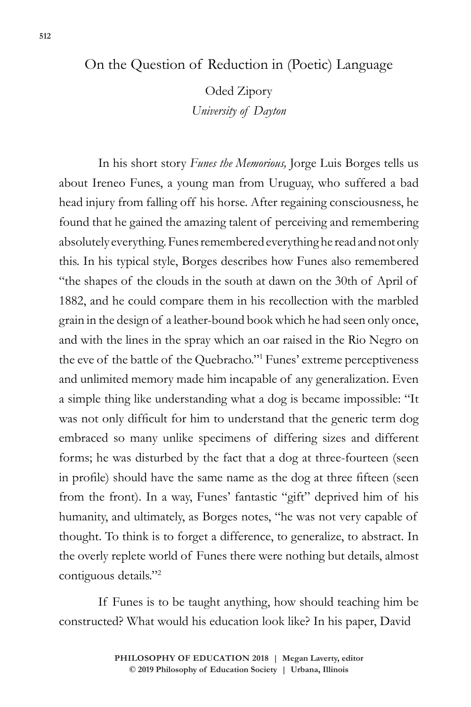## On the Question of Reduction in (Poetic) Language

Oded Zipory *University of Dayton*

In his short story *Funes the Memorious,* Jorge Luis Borges tells us about Ireneo Funes, a young man from Uruguay, who suffered a bad head injury from falling off his horse. After regaining consciousness, he found that he gained the amazing talent of perceiving and remembering absolutely everything. Funes remembered everything he read and not only this. In his typical style, Borges describes how Funes also remembered "the shapes of the clouds in the south at dawn on the 30th of April of 1882, and he could compare them in his recollection with the marbled grain in the design of a leather-bound book which he had seen only once, and with the lines in the spray which an oar raised in the Rio Negro on the eve of the battle of the Quebracho."1 Funes' extreme perceptiveness and unlimited memory made him incapable of any generalization. Even a simple thing like understanding what a dog is became impossible: "It was not only difficult for him to understand that the generic term dog embraced so many unlike specimens of differing sizes and different forms; he was disturbed by the fact that a dog at three-fourteen (seen in profile) should have the same name as the dog at three fifteen (seen from the front). In a way, Funes' fantastic "gift" deprived him of his humanity, and ultimately, as Borges notes, "he was not very capable of thought. To think is to forget a difference, to generalize, to abstract. In the overly replete world of Funes there were nothing but details, almost contiguous details."2

If Funes is to be taught anything, how should teaching him be constructed? What would his education look like? In his paper, David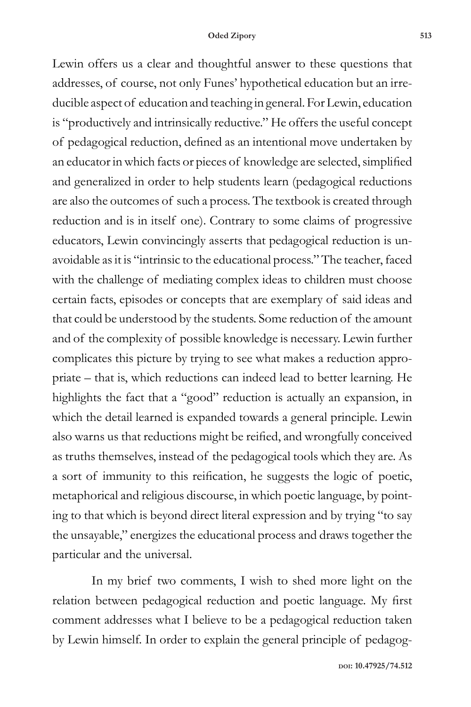Lewin offers us a clear and thoughtful answer to these questions that addresses, of course, not only Funes' hypothetical education but an irreducible aspect of education and teaching in general. For Lewin, education is "productively and intrinsically reductive." He offers the useful concept of pedagogical reduction, defined as an intentional move undertaken by an educator in which facts or pieces of knowledge are selected, simplified and generalized in order to help students learn (pedagogical reductions are also the outcomes of such a process. The textbook is created through reduction and is in itself one). Contrary to some claims of progressive educators, Lewin convincingly asserts that pedagogical reduction is unavoidable as it is "intrinsic to the educational process." The teacher, faced with the challenge of mediating complex ideas to children must choose certain facts, episodes or concepts that are exemplary of said ideas and that could be understood by the students. Some reduction of the amount and of the complexity of possible knowledge is necessary. Lewin further complicates this picture by trying to see what makes a reduction appropriate – that is, which reductions can indeed lead to better learning. He highlights the fact that a "good" reduction is actually an expansion, in which the detail learned is expanded towards a general principle. Lewin also warns us that reductions might be reified, and wrongfully conceived as truths themselves, instead of the pedagogical tools which they are. As a sort of immunity to this reification, he suggests the logic of poetic, metaphorical and religious discourse, in which poetic language, by pointing to that which is beyond direct literal expression and by trying "to say the unsayable," energizes the educational process and draws together the particular and the universal.

In my brief two comments, I wish to shed more light on the relation between pedagogical reduction and poetic language. My first comment addresses what I believe to be a pedagogical reduction taken by Lewin himself. In order to explain the general principle of pedagog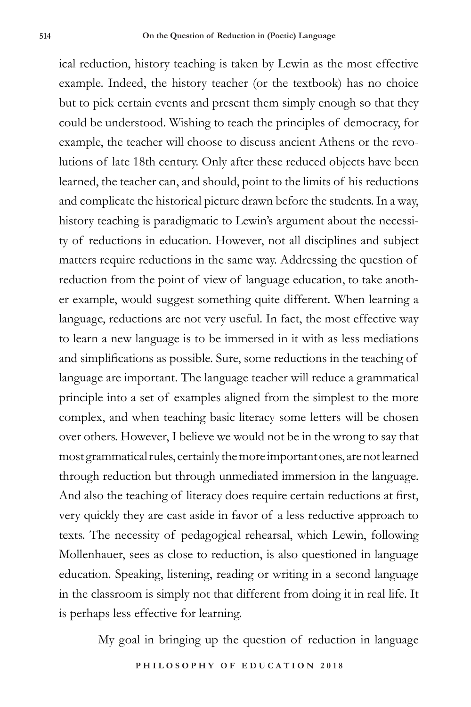ical reduction, history teaching is taken by Lewin as the most effective example. Indeed, the history teacher (or the textbook) has no choice but to pick certain events and present them simply enough so that they could be understood. Wishing to teach the principles of democracy, for example, the teacher will choose to discuss ancient Athens or the revolutions of late 18th century. Only after these reduced objects have been learned, the teacher can, and should, point to the limits of his reductions and complicate the historical picture drawn before the students. In a way, history teaching is paradigmatic to Lewin's argument about the necessity of reductions in education. However, not all disciplines and subject matters require reductions in the same way. Addressing the question of reduction from the point of view of language education, to take another example, would suggest something quite different. When learning a language, reductions are not very useful. In fact, the most effective way to learn a new language is to be immersed in it with as less mediations and simplifications as possible. Sure, some reductions in the teaching of language are important. The language teacher will reduce a grammatical principle into a set of examples aligned from the simplest to the more complex, and when teaching basic literacy some letters will be chosen over others. However, I believe we would not be in the wrong to say that most grammatical rules, certainly the more important ones, are not learned through reduction but through unmediated immersion in the language. And also the teaching of literacy does require certain reductions at first, very quickly they are cast aside in favor of a less reductive approach to texts. The necessity of pedagogical rehearsal, which Lewin, following Mollenhauer, sees as close to reduction, is also questioned in language education. Speaking, listening, reading or writing in a second language in the classroom is simply not that different from doing it in real life. It is perhaps less effective for learning.

My goal in bringing up the question of reduction in language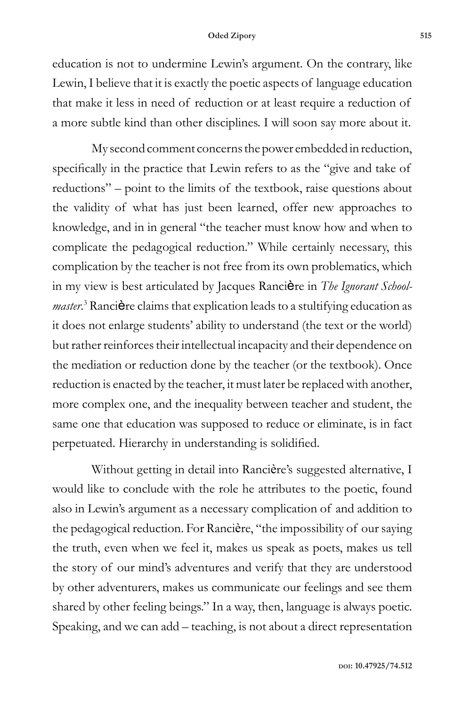## **Oded Zipory 515**

education is not to undermine Lewin's argument. On the contrary, like Lewin, I believe that it is exactly the poetic aspects of language education that make it less in need of reduction or at least require a reduction of a more subtle kind than other disciplines. I will soon say more about it.

My second comment concerns the power embedded in reduction, specifically in the practice that Lewin refers to as the "give and take of reductions" – point to the limits of the textbook, raise questions about the validity of what has just been learned, offer new approaches to knowledge, and in in general "the teacher must know how and when to complicate the pedagogical reduction." While certainly necessary, this complication by the teacher is not free from its own problematics, which in my view is best articulated by Jacques Rancière in *The Ignorant School*master.<sup>3</sup> Rancière claims that explication leads to a stultifying education as it does not enlarge students' ability to understand (the text or the world) but rather reinforces their intellectual incapacity and their dependence on the mediation or reduction done by the teacher (or the textbook). Once reduction is enacted by the teacher, it must later be replaced with another, more complex one, and the inequality between teacher and student, the same one that education was supposed to reduce or eliminate, is in fact perpetuated. Hierarchy in understanding is solidified.

Without getting in detail into Rancière's suggested alternative, I would like to conclude with the role he attributes to the poetic, found also in Lewin's argument as a necessary complication of and addition to the pedagogical reduction. For Rancière, "the impossibility of our saying the truth, even when we feel it, makes us speak as poets, makes us tell the story of our mind's adventures and verify that they are understood by other adventurers, makes us communicate our feelings and see them shared by other feeling beings." In a way, then, language is always poetic. Speaking, and we can add – teaching, is not about a direct representation